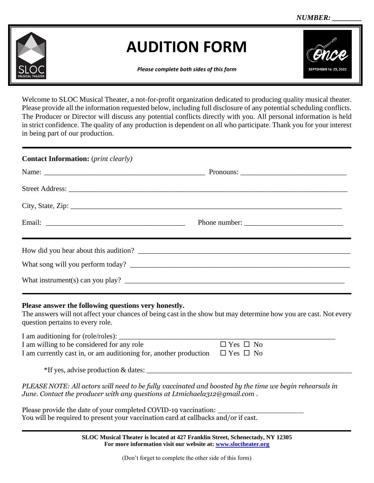

## **AUDITION FORM**

*Please complete both sides of this form*

Welcome to SLOC Musical Theater, a not-for-profit organization dedicated to producing quality musical theater. Please provide all the information requested below, including full disclosure of any potential scheduling conflicts. The Producer or Director will discuss any potential conflicts directly with you. All personal information is held in strict confidence. The quality of any production is dependent on all who participate. Thank you for your interest in being part of our production.

| <b>Contact Information:</b> ( <i>print clearly</i> )                                                           |               |  |
|----------------------------------------------------------------------------------------------------------------|---------------|--|
|                                                                                                                |               |  |
|                                                                                                                |               |  |
| City, State, Zip: 2008. Experience of the State of Table 2008. The State of Table 2008. The State of Table 200 |               |  |
|                                                                                                                | Phone number: |  |
| How did you hear about this audition?                                                                          |               |  |
|                                                                                                                |               |  |
|                                                                                                                |               |  |

## **Please answer the following questions very honestly.**

The answers will not affect your chances of being cast in the show but may determine how you are cast. Not every question pertains to every role.

| I am auditioning for (role/roles):                                |                      |
|-------------------------------------------------------------------|----------------------|
| I am willing to be considered for any role                        | $\Box$ Yes $\Box$ No |
| I am currently cast in, or am auditioning for, another production | $\Box$ Yes $\Box$ No |
|                                                                   |                      |

\*If yes, advise production & dates:

*PLEASE NOTE: All actors will need to be fully vaccinated and boosted by the time we begin rehearsals in June. Contact the producer with any questions at Ltmichaela312@gmail.com .* 

Please provide the date of your completed COVID-19 vaccination: You will be required to present your vaccination card at callbacks and/or if cast.

> **SLOC Musical Theater is located at 427 Franklin Street, Schenectady, NY 12305 For more information visit our website at: [www.sloctheater.org](http://www.sloctheater.org/)**